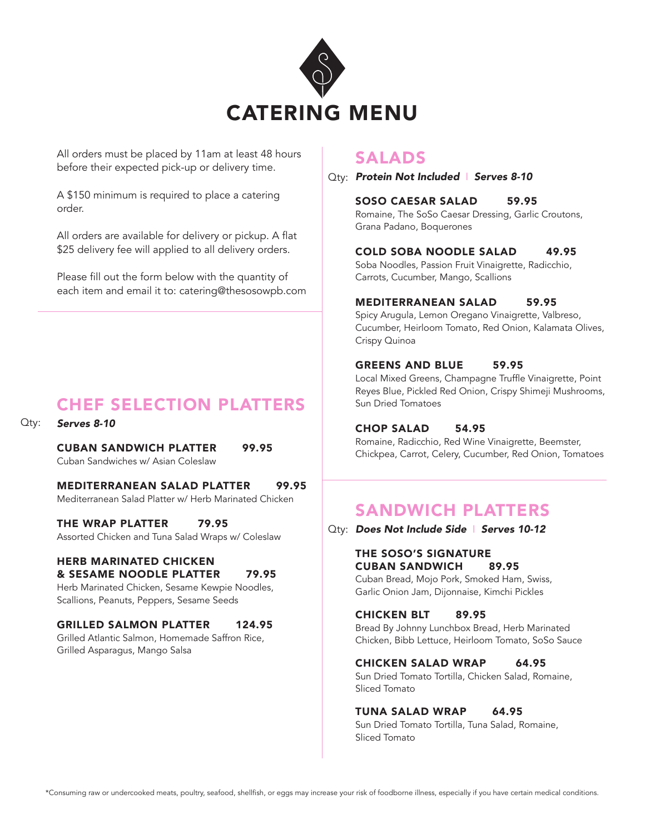

All orders must be placed by 11am at least 48 hours before their expected pick-up or delivery time.

A \$150 minimum is required to place a catering order.

All orders are available for delivery or pickup. A flat \$25 delivery fee will applied to all delivery orders.

Please fill out the form below with the quantity of each item and email it to: catering@thesosowpb.com

# CHEF SELECTION PLATTERS

*Serves 8-10* Qty:

> CUBAN SANDWICH PLATTER 99.95 Cuban Sandwiches w/ Asian Coleslaw

MEDITERRANEAN SALAD PLATTER 99.95 Mediterranean Salad Platter w/ Herb Marinated Chicken

THE WRAP PLATTER 79.95 Assorted Chicken and Tuna Salad Wraps w/ Coleslaw

#### HERB MARINATED CHICKEN & SESAME NOODLE PLATTER 79.95

Herb Marinated Chicken, Sesame Kewpie Noodles, Scallions, Peanuts, Peppers, Sesame Seeds

GRILLED SALMON PLATTER 124.95

Grilled Atlantic Salmon, Homemade Saffron Rice, Grilled Asparagus, Mango Salsa

### SALADS

*Protein Not Included* I *Serves 8-10* Qty:

### SOSO CAESAR SALAD 59.95

Romaine, The SoSo Caesar Dressing, Garlic Croutons, Grana Padano, Boquerones

### COLD SOBA NOODLE SALAD 49.95

Soba Noodles, Passion Fruit Vinaigrette, Radicchio, Carrots, Cucumber, Mango, Scallions

#### MEDITERRANEAN SALAD 59.95

Spicy Arugula, Lemon Oregano Vinaigrette, Valbreso, Cucumber, Heirloom Tomato, Red Onion, Kalamata Olives, Crispy Quinoa

#### GREENS AND BLUE 59.95

Local Mixed Greens, Champagne Truffle Vinaigrette, Point Reyes Blue, Pickled Red Onion, Crispy Shimeji Mushrooms, Sun Dried Tomatoes

#### CHOP SALAD 54.95

Romaine, Radicchio, Red Wine Vinaigrette, Beemster, Chickpea, Carrot, Celery, Cucumber, Red Onion, Tomatoes

## SANDWICH PLATTERS

Qty: **Does Not Include Side | Serves 10-12** 

#### THE SOSO'S SIGNATURE CUBAN SANDWICH 89.95

Cuban Bread, Mojo Pork, Smoked Ham, Swiss, Garlic Onion Jam, Dijonnaise, Kimchi Pickles

#### CHICKEN BLT 89.95

Bread By Johnny Lunchbox Bread, Herb Marinated Chicken, Bibb Lettuce, Heirloom Tomato, SoSo Sauce

#### CHICKEN SALAD WRAP 64.95

Sun Dried Tomato Tortilla, Chicken Salad, Romaine, Sliced Tomato

#### TUNA SALAD WRAP 64.95

Sun Dried Tomato Tortilla, Tuna Salad, Romaine, Sliced Tomato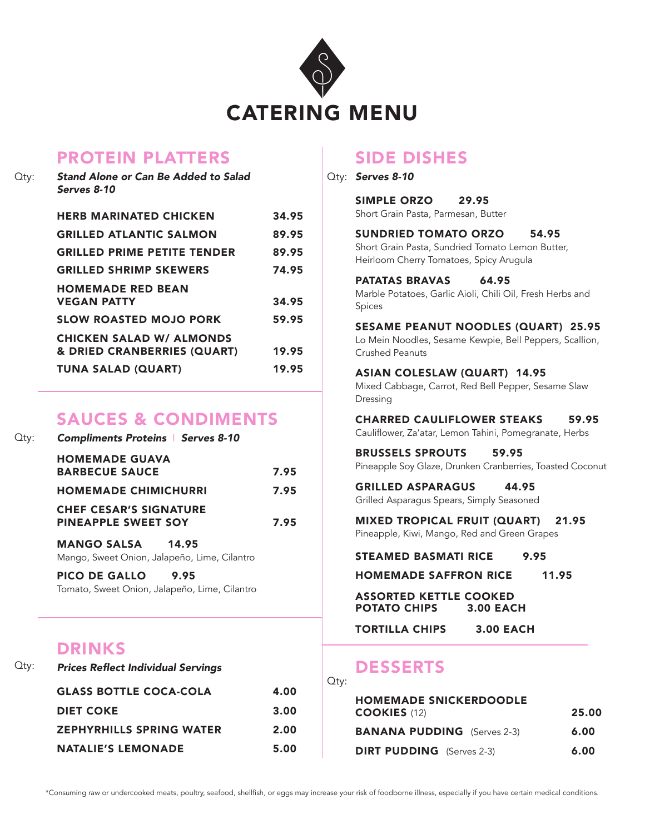

## PROTEIN PLATTERS

| $Q$ ty: | Stand Alone or Can Be Added to Salad<br>Serves 8-10            |       | ∪tv: |
|---------|----------------------------------------------------------------|-------|------|
|         | <b>HERB MARINATED CHICKEN</b>                                  | 34.95 |      |
|         | <b>GRILLED ATLANTIC SALMON</b>                                 | 89.95 |      |
|         | <b>GRILLED PRIME PETITE TENDER</b>                             | 89.95 |      |
|         | <b>GRILLED SHRIMP SKEWERS</b>                                  | 74.95 |      |
|         | <b>HOMEMADE RED BEAN</b><br><b>VEGAN PATTY</b>                 | 34.95 |      |
|         | <b>SLOW ROASTED MOJO PORK</b>                                  | 59.95 |      |
|         | <b>CHICKEN SALAD W/ ALMONDS</b><br>& DRIED CRANBERRIES (QUART) | 19.95 |      |
|         | <b>TUNA SALAD (QUART)</b>                                      | 19.95 |      |

### SAUCES & CONDIMENTS

| Qtv: | <b>Compliments Proteins   Serves 8-10</b>                   |      |
|------|-------------------------------------------------------------|------|
|      | <b>HOMEMADE GUAVA</b><br><b>BARBECUE SAUCE</b>              | 7.95 |
|      | <b>HOMEMADE CHIMICHURRI</b>                                 | 7.95 |
|      | <b>CHEF CESAR'S SIGNATURE</b><br><b>PINEAPPLE SWEET SOY</b> | 7.95 |
|      | <b>MANGO SALSA</b> 14.95                                    |      |

Mango, Sweet Onion, Jalapeño, Lime, Cilantro

PICO DE GALLO 9.95 Tomato, Sweet Onion, Jalapeño, Lime, Cilantro

## DRINKS

| $Q$ ty: | <b>Prices Reflect Individual Servings</b> |      |
|---------|-------------------------------------------|------|
|         | <b>GLASS BOTTLE COCA-COLA</b>             | 4.00 |
|         | <b>DIET COKE</b>                          | 3.00 |
|         | <b>ZEPHYRHILLS SPRING WATER</b>           | 2.00 |
|         | <b>NATALIE'S LEMONADE</b>                 | 5.00 |

# SIDE DISHES

*Serves 8-10*

SIMPLE ORZO 29.95 Short Grain Pasta, Parmesan, Butter SUNDRIED TOMATO ORZO 54.95 Short Grain Pasta, Sundried Tomato Lemon Butter, Heirloom Cherry Tomatoes, Spicy Arugula PATATAS BRAVAS 64.95 Marble Potatoes, Garlic Aioli, Chili Oil, Fresh Herbs and Spices SESAME PEANUT NOODLES (QUART) 25.95 Lo Mein Noodles, Sesame Kewpie, Bell Peppers, Scallion, Crushed Peanuts ASIAN COLESLAW (QUART) 14.95 Mixed Cabbage, Carrot, Red Bell Pepper, Sesame Slaw Dressing CHARRED CAULIFLOWER STEAKS 59.95 Cauliflower, Za'atar, Lemon Tahini, Pomegranate, Herbs BRUSSELS SPROUTS 59.95 Pineapple Soy Glaze, Drunken Cranberries, Toasted Coconut GRILLED ASPARAGUS 44.95 Grilled Asparagus Spears, Simply Seasoned MIXED TROPICAL FRUIT (QUART) 21.95 Pineapple, Kiwi, Mango, Red and Green Grapes STEAMED BASMATI RICE 9.95 HOMEMADE SAFFRON RICE 11.95 ASSORTED KETTLE COOKED<br>POTATO CHIPS 3.00 EACH POTATO CHIPS TORTILLA CHIPS 3.00 EACH

# DESSERTS

| $Q$ ty:                                              |       |
|------------------------------------------------------|-------|
| <b>HOMEMADE SNICKERDOODLE</b><br><b>COOKIES (12)</b> | 25.00 |
| <b>BANANA PUDDING</b> (Serves 2-3)                   | 6.00  |
| <b>DIRT PUDDING</b> (Serves 2-3)                     | 6.00  |

\*Consuming raw or undercooked meats, poultry, seafood, shellfish, or eggs may increase your risk of foodborne illness, especially if you have certain medical conditions.